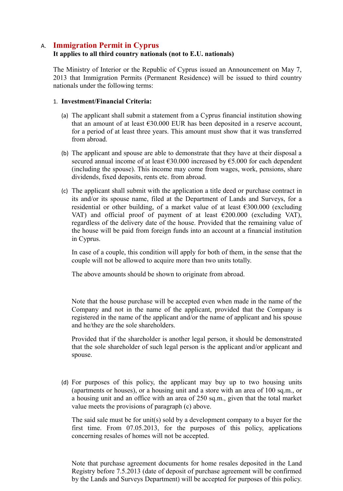# A. **Immigration Permit in Cyprus**

## **It applies to all third country nationals (not to E.U. nationals)**

The Ministry of Interior or the Republic of Cyprus issued an Announcement on May 7, 2013 that Immigration Permits (Permanent Residence) will be issued to third country nationals under the following terms:

### 1. **Investment/Financial Criteria:**

- (a) The applicant shall submit a statement from a Cyprus financial institution showing that an amount of at least  $\epsilon$ 30.000 EUR has been deposited in a reserve account, for a period of at least three years. This amount must show that it was transferred from abroad.
- (b) The applicant and spouse are able to demonstrate that they have at their disposal a secured annual income of at least €30.000 increased by €5.000 for each dependent (including the spouse). This income may come from wages, work, pensions, share dividends, fixed deposits, rents etc. from abroad.
- (c) The applicant shall submit with the application a title deed or purchase contract in its and/or its spouse name, filed at the Department of Lands and Surveys, for a residential or other building, of a market value of at least  $\epsilon$ 300.000 (excluding VAT) and official proof of payment of at least  $\epsilon$ 200.000 (excluding VAT), regardless of the delivery date of the house. Provided that the remaining value of the house will be paid from foreign funds into an account at a financial institution in Cyprus.

In case of a couple, this condition will apply for both of them, in the sense that the couple will not be allowed to acquire more than two units totally.

The above amounts should be shown to originate from abroad.

Note that the house purchase will be accepted even when made in the name of the Company and not in the name of the applicant, provided that the Company is registered in the name of the applicant and/or the name of applicant and his spouse and he/they are the sole shareholders.

Provided that if the shareholder is another legal person, it should be demonstrated that the sole shareholder of such legal person is the applicant and/or applicant and spouse.

(d) For purposes of this policy, the applicant may buy up to two housing units (apartments or houses), or a housing unit and a store with an area of 100 sq.m., or a housing unit and an office with an area of 250 sq.m., given that the total market value meets the provisions of paragraph (c) above.

The said sale must be for unit(s) sold by a development company to a buyer for the first time. From 07.05.2013, for the purposes of this policy, applications concerning resales of homes will not be accepted.

Note that purchase agreement documents for home resales deposited in the Land Registry before 7.5.2013 (date of deposit of purchase agreement will be confirmed by the Lands and Surveys Department) will be accepted for purposes of this policy.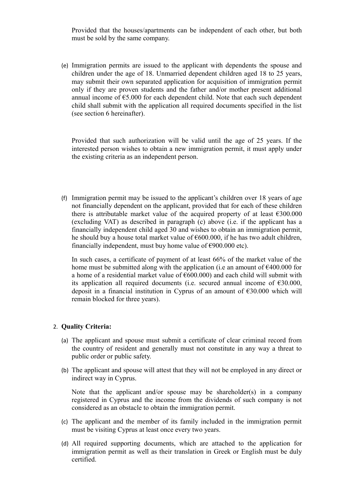Provided that the houses/apartments can be independent of each other, but both must be sold by the same company.

(e) Immigration permits are issued to the applicant with dependents the spouse and children under the age of 18. Unmarried dependent children aged 18 to 25 years, may submit their own separated application for acquisition of immigration permit only if they are proven students and the father and/or mother present additional annual income of  $65.000$  for each dependent child. Note that each such dependent child shall submit with the application all required documents specified in the list (see section 6 hereinafter).

Provided that such authorization will be valid until the age of 25 years. If the interested person wishes to obtain a new immigration permit, it must apply under the existing criteria as an independent person.

(f) Immigration permit may be issued to the applicant's children over 18 years of age not financially dependent on the applicant, provided that for each of these children there is attributable market value of the acquired property of at least  $\epsilon$ 300.000 (excluding VAT) as described in paragraph (c) above (i.e. if the applicant has a financially independent child aged 30 and wishes to obtain an immigration permit, he should buy a house total market value of  $\epsilon$ 600.000, if he has two adult children, financially independent, must buy home value of  $\epsilon$ 900.000 etc).

In such cases, a certificate of payment of at least 66% of the market value of the home must be submitted along with the application (i.e an amount of  $\epsilon$ 400.000 for a home of a residential market value of  $\epsilon$ 600.000) and each child will submit with its application all required documents (i.e. secured annual income of  $\epsilon$ 30.000, deposit in a financial institution in Cyprus of an amount of  $\epsilon$ 30.000 which will remain blocked for three years).

#### 2. **Quality Criteria:**

- (a) The applicant and spouse must submit a certificate of clear criminal record from the country of resident and generally must not constitute in any way a threat to public order or public safety.
- (b) The applicant and spouse will attest that they will not be employed in any direct or indirect way in Cyprus.

Note that the applicant and/or spouse may be shareholder(s) in a company registered in Cyprus and the income from the dividends of such company is not considered as an obstacle to obtain the immigration permit.

- (c) The applicant and the member of its family included in the immigration permit must be visiting Cyprus at least once every two years.
- (d) All required supporting documents, which are attached to the application for immigration permit as well as their translation in Greek or English must be duly certified.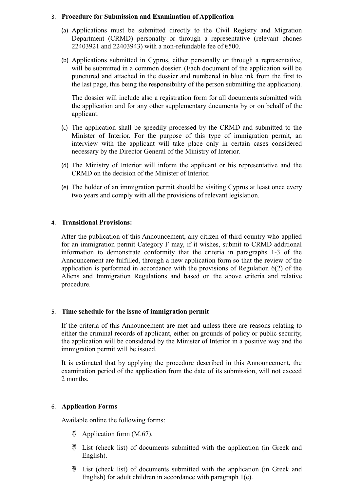### 3. **Procedure for Submission and Examination of Application**

- (a) Applications must be submitted directly to the Civil Registry and Migration Department (CRMD) personally or through a representative (relevant phones 22403921 and 22403943) with a non-refundable fee of  $\epsilon$ 500.
- (b) Applications submitted in Cyprus, either personally or through a representative, will be submitted in a common dossier. (Each document of the application will be punctured and attached in the dossier and numbered in blue ink from the first to the last page, this being the responsibility of the person submitting the application).

The dossier will include also a registration form for all documents submitted with the application and for any other supplementary documents by or on behalf of the applicant.

- (c) The application shall be speedily processed by the CRMD and submitted to the Minister of Interior. For the purpose of this type of immigration permit, an interview with the applicant will take place only in certain cases considered necessary by the Director General of the Ministry of Interior.
- (d) The Ministry of Interior will inform the applicant or his representative and the CRMD on the decision of the Minister of Interior.
- (e) The holder of an immigration permit should be visiting Cyprus at least once every two years and comply with all the provisions of relevant legislation.

### 4. **Transitional Provisions:**

After the publication of this Announcement, any citizen of third country who applied for an immigration permit Category F may, if it wishes, submit to CRMD additional information to demonstrate conformity that the criteria in paragraphs 1-3 of the Announcement are fulfilled, through a new application form so that the review of the application is performed in accordance with the provisions of Regulation 6(2) of the Aliens and Immigration Regulations and based on the above criteria and relative procedure.

## 5. **Time schedule for the issue of immigration permit**

If the criteria of this Announcement are met and unless there are reasons relating to either the criminal records of applicant, either on grounds of policy or public security, the application will be considered by the Minister of Interior in a positive way and the immigration permit will be issued.

It is estimated that by applying the procedure described in this Announcement, the examination period of the application from the date of its submission, will not exceed 2 months.

## 6. **Application Forms**

Available online the following forms:

- $^{35}_{17}$  Application form (M.67).
- $^{35}_{17}$  List (check list) of documents submitted with the application (in Greek and English).
- List (check list) of documents submitted with the application (in Greek and English) for adult children in accordance with paragraph 1(e).